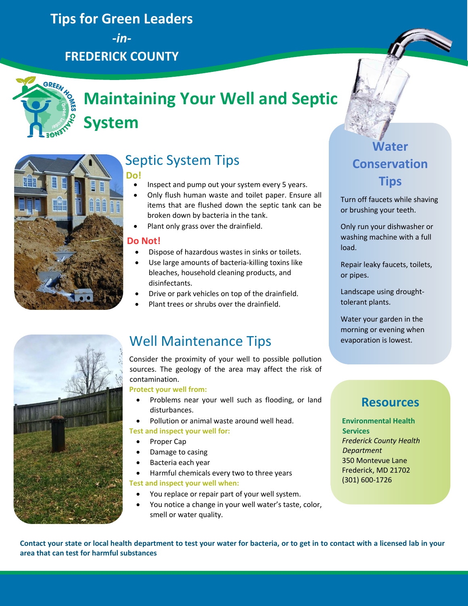## **Tips for Green Leaders**

*-in-***FREDERICK COUNTY**



# **Maintaining Your Well and Septic System**



## Septic System Tips

- **Do!**
	- Inspect and pump out your system every 5 years.
	- Only flush human waste and toilet paper. Ensure all items that are flushed down the septic tank can be broken down by bacteria in the tank.
	- Plant only grass over the drainfield.

### **Do Not!**

- Dispose of hazardous wastes in sinks or toilets.
- Use large amounts of bacteria-killing toxins like bleaches, household cleaning products, and disinfectants.
- Drive or park vehicles on top of the drainfield.
- Plant trees or shrubs over the drainfield.

## Well Maintenance Tips **Example 18 Paragers** is lowest.

Consider the proximity of your well to possible pollution sources. The geology of the area may affect the risk of contamination.

**Protect your well from:**

- Problems near your well such as flooding, or land disturbances.
- Pollution or animal waste around well head.

### **Test and inspect your well for:**

- Proper Cap
- Damage to casing
- Bacteria each year
- Harmful chemicals every two to three years

**Test and inspect your well when:**

- You replace or repair part of your well system.
- You notice a change in your well water's taste, color, smell or water quality.

## **Water Conservation Tips**

Turn off faucets while shaving or brushing your teeth.

Only run your dishwasher or washing machine with a full load.

Repair leaky faucets, toilets, or pipes.

Landscape using droughttolerant plants.

Water your garden in the morning or evening when

### **Resources**

**Environmental Health Services** *Frederick County Health Department* 350 Montevue Lane Frederick, MD 21702 (301) 600-1726

**Contact your state or local health department to test your water for bacteria, or to get in to contact with a licensed lab in your area that can test for harmful substances**